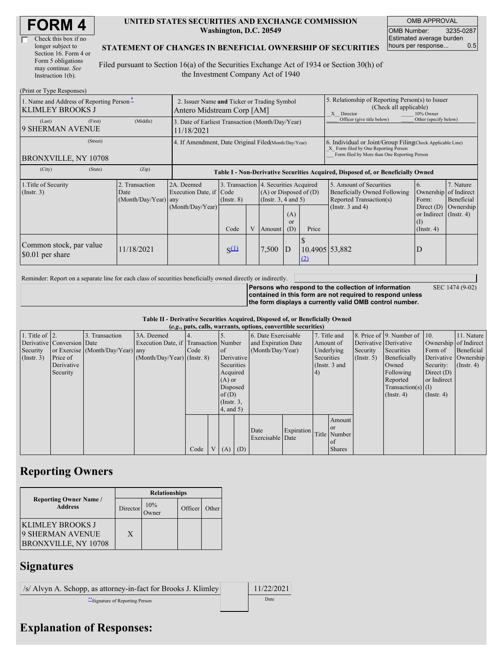| Check this box if no  |
|-----------------------|
| longer subject to     |
| Section 16. Form 4 or |
| Form 5 obligations    |
| may continue. See     |
| Instruction 1(b).     |

#### **UNITED STATES SECURITIES AND EXCHANGE COMMISSION Washington, D.C. 20549**

OMB APPROVAL OMB Number: 3235-0287 Estimated average burden hours per response... 0.5

SEC 1474 (9-02)

#### **STATEMENT OF CHANGES IN BENEFICIAL OWNERSHIP OF SECURITIES**

Filed pursuant to Section 16(a) of the Securities Exchange Act of 1934 or Section 30(h) of the Investment Company Act of 1940

| (Print or Type Responses)                                                                  |                                                                           |                                                                                  |                     |   |                                                                                            |                             |                                                                                                                                                    |                                                                                    |                                                                      |                         |
|--------------------------------------------------------------------------------------------|---------------------------------------------------------------------------|----------------------------------------------------------------------------------|---------------------|---|--------------------------------------------------------------------------------------------|-----------------------------|----------------------------------------------------------------------------------------------------------------------------------------------------|------------------------------------------------------------------------------------|----------------------------------------------------------------------|-------------------------|
| 1. Name and Address of Reporting Person-<br><b>KLIMLEY BROOKS J</b>                        | 2. Issuer Name and Ticker or Trading Symbol<br>Antero Midstream Corp [AM] |                                                                                  |                     |   |                                                                                            |                             | 5. Relationship of Reporting Person(s) to Issuer<br>(Check all applicable)<br>X Director<br>10% Owner                                              |                                                                                    |                                                                      |                         |
| (First)<br>(Last)<br><b>9 SHERMAN AVENUE</b>                                               | (Middle)                                                                  | 3. Date of Earliest Transaction (Month/Day/Year)<br>11/18/2021                   |                     |   |                                                                                            |                             |                                                                                                                                                    | Officer (give title below)                                                         | Other (specify below)                                                |                         |
| (Street)<br>BRONXVILLE, NY 10708                                                           | 4. If Amendment, Date Original Filed (Month/Day/Year)                     |                                                                                  |                     |   |                                                                                            |                             | 6. Individual or Joint/Group Filing Check Applicable Line)<br>X Form filed by One Reporting Person<br>Form filed by More than One Reporting Person |                                                                                    |                                                                      |                         |
| (City)<br>(State)                                                                          | (Zip)                                                                     | Table I - Non-Derivative Securities Acquired, Disposed of, or Beneficially Owned |                     |   |                                                                                            |                             |                                                                                                                                                    |                                                                                    |                                                                      |                         |
| 1. Title of Security<br>2. Transaction<br>$($ Instr. 3 $)$<br>Date<br>(Month/Day/Year) any |                                                                           | 2A. Deemed<br>Execution Date, if                                                 | Code<br>(Insert, 8) |   | 3. Transaction 4. Securities Acquired<br>$(A)$ or Disposed of $(D)$<br>(Instr. 3, 4 and 5) |                             |                                                                                                                                                    | 5. Amount of Securities<br>Beneficially Owned Following<br>Reported Transaction(s) | 6.<br>Ownership of Indirect<br>Form:                                 | 7. Nature<br>Beneficial |
|                                                                                            |                                                                           | (Month/Day/Year)                                                                 | Code                | V | Amount                                                                                     | (A)<br><sub>or</sub><br>(D) | Price                                                                                                                                              | (Instr. $3$ and $4$ )                                                              | Direct $(D)$<br>or Indirect (Instr. 4)<br>$($ I)<br>$($ Instr. 4 $)$ | Ownership               |
| Common stock, par value<br>\$0.01 per share                                                | 11/18/2021                                                                |                                                                                  | $S^{(1)}$           |   | 7,500                                                                                      | ID                          | 10.4905 53,882<br>(2)                                                                                                                              |                                                                                    | D                                                                    |                         |

Reminder: Report on a separate line for each class of securities beneficially owned directly or indirectly.

**Persons who respond to the collection of information contained in this form are not required to respond unless the form displays a currently valid OMB control number.**

**Table II - Derivative Securities Acquired, Disposed of, or Beneficially Owned**

| (e.g., puts, calls, warrants, options, convertible securities) |                            |                                  |                                       |      |                |                 |  |                     |            |                 |               |                  |                              |                       |                      |
|----------------------------------------------------------------|----------------------------|----------------------------------|---------------------------------------|------|----------------|-----------------|--|---------------------|------------|-----------------|---------------|------------------|------------------------------|-----------------------|----------------------|
| 1. Title of $\vert$ 2.                                         |                            | 3. Transaction                   | 3A. Deemed                            |      |                |                 |  | 6. Date Exercisable |            | 7. Title and    |               |                  | 8. Price of 9. Number of 10. |                       | 11. Nature           |
|                                                                | Derivative Conversion Date |                                  | Execution Date, if Transaction Number |      |                |                 |  | and Expiration Date |            | Amount of       |               |                  | Derivative Derivative        | Ownership of Indirect |                      |
| Security                                                       |                            | or Exercise (Month/Day/Year) any |                                       | Code |                | <sub>of</sub>   |  | (Month/Day/Year)    |            | Underlying      |               | Security         | Securities                   | Form of               | Beneficial           |
| $($ Instr. 3 $)$                                               | Price of                   |                                  | $(Month/Day/Year)$ (Instr. 8)         |      |                | Derivative      |  |                     |            | Securities      |               | $($ Instr. 5 $)$ | Beneficially                 |                       | Derivative Ownership |
|                                                                | Derivative                 |                                  |                                       |      |                | Securities      |  |                     |            | (Instr. $3$ and |               |                  | Owned                        | Security:             | $($ Instr. 4 $)$     |
|                                                                | Security                   |                                  |                                       |      |                | Acquired        |  |                     |            | 4)              |               |                  | Following                    | Direct $(D)$          |                      |
|                                                                |                            |                                  |                                       |      |                | $(A)$ or        |  |                     |            |                 |               |                  | Reported                     | or Indirect           |                      |
|                                                                |                            |                                  |                                       |      |                | Disposed        |  |                     |            |                 |               |                  | $Transaction(s)$ (I)         |                       |                      |
|                                                                |                            |                                  |                                       |      |                | of(D)           |  |                     |            |                 |               |                  | $($ Instr. 4 $)$             | $($ Instr. 4 $)$      |                      |
|                                                                |                            |                                  |                                       |      |                | $($ Instr. $3,$ |  |                     |            |                 |               |                  |                              |                       |                      |
|                                                                |                            |                                  |                                       |      |                | $4$ , and $5$ ) |  |                     |            |                 |               |                  |                              |                       |                      |
|                                                                |                            |                                  |                                       |      |                |                 |  |                     |            |                 | Amount        |                  |                              |                       |                      |
|                                                                |                            |                                  |                                       |      |                |                 |  |                     |            |                 | <sub>or</sub> |                  |                              |                       |                      |
|                                                                |                            |                                  |                                       |      |                |                 |  | Date                | Expiration |                 | Title Number  |                  |                              |                       |                      |
|                                                                |                            |                                  |                                       |      |                |                 |  | Exercisable Date    |            |                 | of            |                  |                              |                       |                      |
|                                                                |                            |                                  |                                       | Code | V <sub>1</sub> | $(A)$ $(D)$     |  |                     |            |                 | <b>Shares</b> |                  |                              |                       |                      |

## **Reporting Owners**

|                                                              | <b>Relationships</b> |                 |         |       |  |  |  |  |
|--------------------------------------------------------------|----------------------|-----------------|---------|-------|--|--|--|--|
| <b>Reporting Owner Name /</b><br><b>Address</b>              | Director             | 10%<br><b>T</b> | Officer | Other |  |  |  |  |
| KLIMLEY BROOKS J<br>9 SHERMAN AVENUE<br>BRONXVILLE, NY 10708 | X                    |                 |         |       |  |  |  |  |

# **Signatures**

| /s/ Alvyn A. Schopp, as attorney-in-fact for Brooks J. Klimley | 11/22/2021 |
|----------------------------------------------------------------|------------|
| Signature of Reporting Person                                  | Date       |

## **Explanation of Responses:**